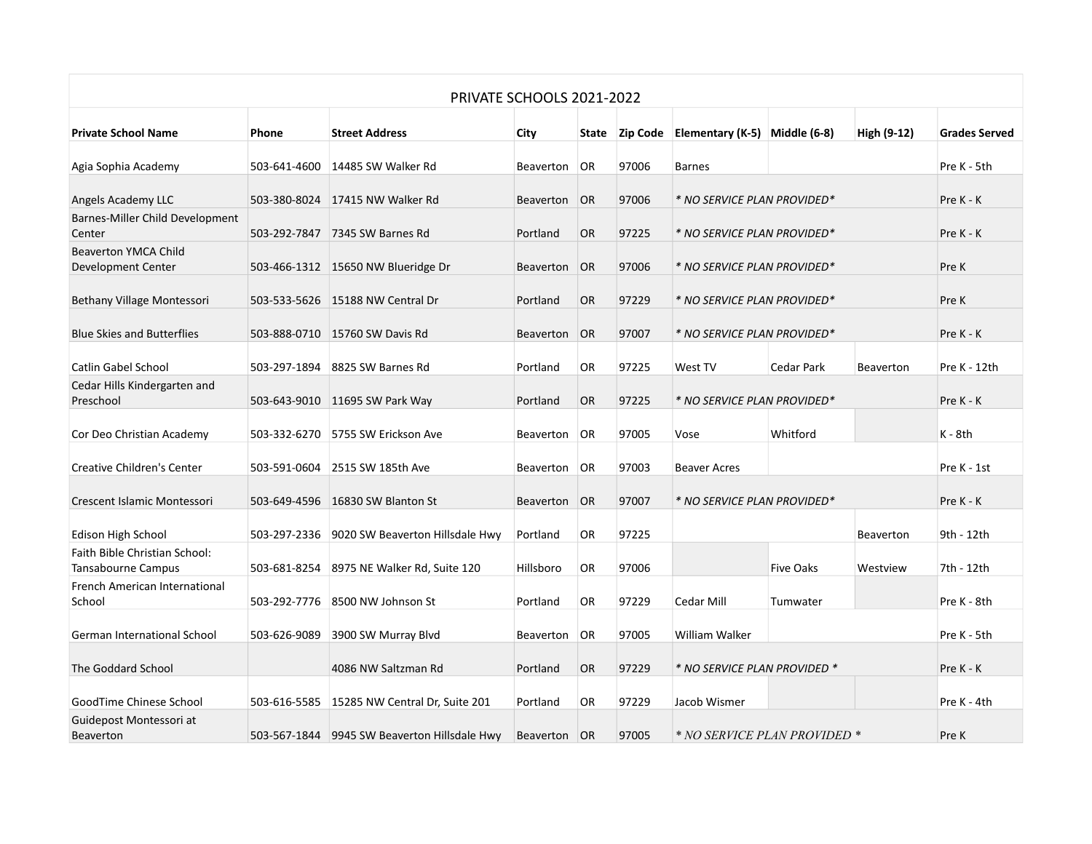| PRIVATE SCHOOLS 2021-2022                           |              |                                              |           |           |                |                               |            |                  |                      |
|-----------------------------------------------------|--------------|----------------------------------------------|-----------|-----------|----------------|-------------------------------|------------|------------------|----------------------|
| <b>Private School Name</b>                          | Phone        | <b>Street Address</b>                        | City      |           | State Zip Code | Elementary (K-5) Middle (6-8) |            | High (9-12)      | <b>Grades Served</b> |
| Agia Sophia Academy                                 | 503-641-4600 | 14485 SW Walker Rd                           | Beaverton | <b>OR</b> | 97006          | <b>Barnes</b>                 |            |                  | Pre K - 5th          |
| Angels Academy LLC                                  |              | 503-380-8024 17415 NW Walker Rd              | Beaverton | <b>OR</b> | 97006          | * NO SERVICE PLAN PROVIDED*   | Pre K - K  |                  |                      |
| Barnes-Miller Child Development<br>Center           |              | 503-292-7847 7345 SW Barnes Rd               | Portland  | OR.       | 97225          | * NO SERVICE PLAN PROVIDED*   | Pre K - K  |                  |                      |
| <b>Beaverton YMCA Child</b><br>Development Center   |              | 503-466-1312 15650 NW Blueridge Dr           | Beaverton | <b>OR</b> | 97006          | * NO SERVICE PLAN PROVIDED*   |            |                  | Pre K                |
| Bethany Village Montessori                          |              | 503-533-5626 15188 NW Central Dr             | Portland  | <b>OR</b> | 97229          | * NO SERVICE PLAN PROVIDED*   |            |                  | Pre K                |
| <b>Blue Skies and Butterflies</b>                   |              | 503-888-0710 15760 SW Davis Rd               | Beaverton | <b>OR</b> | 97007          | * NO SERVICE PLAN PROVIDED*   |            |                  | Pre K - K            |
| <b>Catlin Gabel School</b>                          | 503-297-1894 | 8825 SW Barnes Rd                            | Portland  | OR.       | 97225          | West TV                       | Cedar Park | <b>Beaverton</b> | Pre K - 12th         |
| Cedar Hills Kindergarten and<br>Preschool           |              | 503-643-9010 11695 SW Park Way               | Portland  | <b>OR</b> | 97225          | * NO SERVICE PLAN PROVIDED*   |            |                  | Pre K - K            |
| Cor Deo Christian Academy                           |              | 503-332-6270 5755 SW Erickson Ave            | Beaverton | OR        | 97005          | Vose                          | Whitford   |                  | $K - 8th$            |
| <b>Creative Children's Center</b>                   | 503-591-0604 | 2515 SW 185th Ave                            | Beaverton | <b>OR</b> | 97003          | <b>Beaver Acres</b>           |            |                  | Pre K - 1st          |
| Crescent Islamic Montessori                         |              | 503-649-4596 16830 SW Blanton St             | Beaverton | <b>OR</b> | 97007          | * NO SERVICE PLAN PROVIDED*   |            |                  | Pre K - K            |
| Edison High School                                  |              | 503-297-2336 9020 SW Beaverton Hillsdale Hwy | Portland  | OR        | 97225          |                               |            | Beaverton        | 9th - 12th           |
| Faith Bible Christian School:<br>Tansabourne Campus |              | 503-681-8254 8975 NE Walker Rd, Suite 120    | Hillsboro | OR        | 97006          |                               | Five Oaks  | Westview         | 7th - 12th           |
| French American International<br>School             |              | 503-292-7776 8500 NW Johnson St              | Portland  | OR.       | 97229          | Cedar Mill                    | Tumwater   |                  | Pre K - 8th          |
| <b>German International School</b>                  | 503-626-9089 | 3900 SW Murray Blvd                          | Beaverton | OR        | 97005          | William Walker                |            |                  | Pre K - 5th          |
| The Goddard School                                  |              | 4086 NW Saltzman Rd                          | Portland  | <b>OR</b> | 97229          | * NO SERVICE PLAN PROVIDED *  |            |                  | Pre K - K            |
| GoodTime Chinese School                             | 503-616-5585 | 15285 NW Central Dr, Suite 201               | Portland  | <b>OR</b> | 97229          | Jacob Wismer                  |            |                  | Pre K - 4th          |
| Guidepost Montessori at<br><b>Beaverton</b>         |              | 503-567-1844 9945 SW Beaverton Hillsdale Hwy | Beaverton | <b>OR</b> | 97005          | * NO SERVICE PLAN PROVIDED *  |            |                  | Pre K                |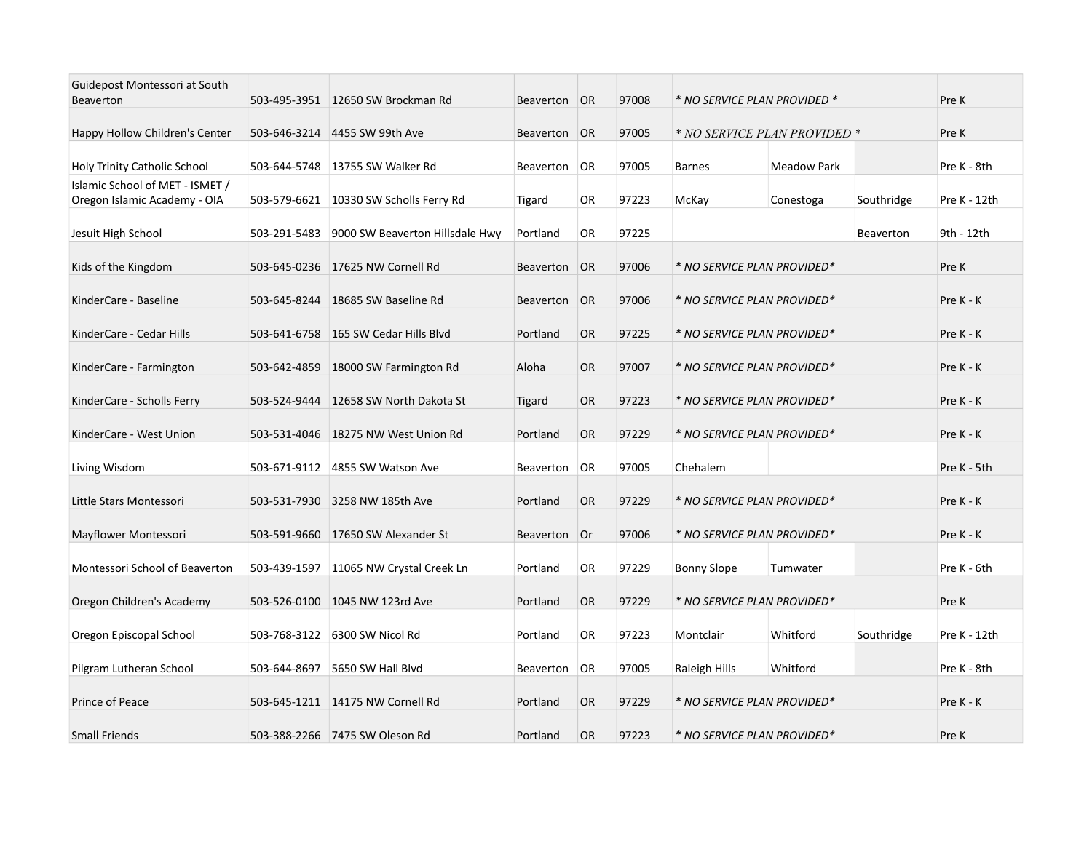| Guidepost Montessori at South<br><b>Beaverton</b> |              | 503-495-3951 12650 SW Brockman Rd      | Beaverton     | <b>OR</b> | 97008 | * NO SERVICE PLAN PROVIDED * |                    |            | Pre K        |
|---------------------------------------------------|--------------|----------------------------------------|---------------|-----------|-------|------------------------------|--------------------|------------|--------------|
| Happy Hollow Children's Center                    |              | 503-646-3214 4455 SW 99th Ave          | Beaverton     | <b>OR</b> | 97005 | * NO SERVICE PLAN PROVIDED * |                    | Pre K      |              |
| Holy Trinity Catholic School                      |              | 503-644-5748 13755 SW Walker Rd        | Beaverton     | OR        | 97005 | <b>Barnes</b>                | <b>Meadow Park</b> |            | Pre K - 8th  |
| Islamic School of MET - ISMET /                   |              |                                        |               |           |       |                              |                    |            |              |
| Oregon Islamic Academy - OIA                      |              | 503-579-6621 10330 SW Scholls Ferry Rd | <b>Tigard</b> | <b>OR</b> | 97223 | McKay                        | Conestoga          | Southridge | Pre K - 12th |
| Jesuit High School                                | 503-291-5483 | 9000 SW Beaverton Hillsdale Hwy        | Portland      | OR.       | 97225 |                              |                    | Beaverton  | 9th - 12th   |
| Kids of the Kingdom                               |              | 503-645-0236 17625 NW Cornell Rd       | Beaverton     | OR        | 97006 | * NO SERVICE PLAN PROVIDED*  |                    |            | Pre K        |
| KinderCare - Baseline                             |              | 503-645-8244 18685 SW Baseline Rd      | Beaverton     | OR        | 97006 | * NO SERVICE PLAN PROVIDED*  |                    |            | Pre K - K    |
| KinderCare - Cedar Hills                          |              | 503-641-6758 165 SW Cedar Hills Blvd   | Portland      | <b>OR</b> | 97225 | * NO SERVICE PLAN PROVIDED*  |                    |            | Pre K - K    |
| KinderCare - Farmington                           | 503-642-4859 | 18000 SW Farmington Rd                 | Aloha         | <b>OR</b> | 97007 | * NO SERVICE PLAN PROVIDED*  |                    |            | Pre K - K    |
| KinderCare - Scholls Ferry                        | 503-524-9444 | 12658 SW North Dakota St               | <b>Tigard</b> | <b>OR</b> | 97223 | * NO SERVICE PLAN PROVIDED*  | Pre K - K          |            |              |
| KinderCare - West Union                           |              | 503-531-4046 18275 NW West Union Rd    | Portland      | <b>OR</b> | 97229 | * NO SERVICE PLAN PROVIDED*  |                    |            | Pre K - K    |
| Living Wisdom                                     | 503-671-9112 | 4855 SW Watson Ave                     | Beaverton     | OR        | 97005 | Chehalem                     |                    |            | Pre K - 5th  |
| Little Stars Montessori                           |              | 503-531-7930 3258 NW 185th Ave         | Portland      | <b>OR</b> | 97229 | * NO SERVICE PLAN PROVIDED*  |                    |            | Pre K - K    |
| Mayflower Montessori                              |              | 503-591-9660 17650 SW Alexander St     | Beaverton     | Or        | 97006 | * NO SERVICE PLAN PROVIDED*  |                    |            | Pre K - K    |
| Montessori School of Beaverton                    |              | 503-439-1597 11065 NW Crystal Creek Ln | Portland      | OR        | 97229 | <b>Bonny Slope</b>           | Tumwater           |            | Pre K - 6th  |
| Oregon Children's Academy                         |              | 503-526-0100 1045 NW 123rd Ave         | Portland      | <b>OR</b> | 97229 | * NO SERVICE PLAN PROVIDED*  |                    |            | Pre K        |
| Oregon Episcopal School                           |              | 503-768-3122 6300 SW Nicol Rd          | Portland      | OR        | 97223 | Montclair                    | Whitford           | Southridge | Pre K - 12th |
|                                                   |              |                                        |               |           |       |                              |                    |            |              |
| Pilgram Lutheran School                           | 503-644-8697 | 5650 SW Hall Blyd                      | Beaverton     | OR        | 97005 | Raleigh Hills                | Whitford           |            | Pre K - 8th  |
| Prince of Peace                                   |              | 503-645-1211 14175 NW Cornell Rd       | Portland      | <b>OR</b> | 97229 | * NO SERVICE PLAN PROVIDED*  |                    |            | Pre K - K    |
| <b>Small Friends</b>                              |              | 503-388-2266 7475 SW Oleson Rd         | Portland      | <b>OR</b> | 97223 | * NO SERVICE PLAN PROVIDED*  |                    |            | Pre K        |